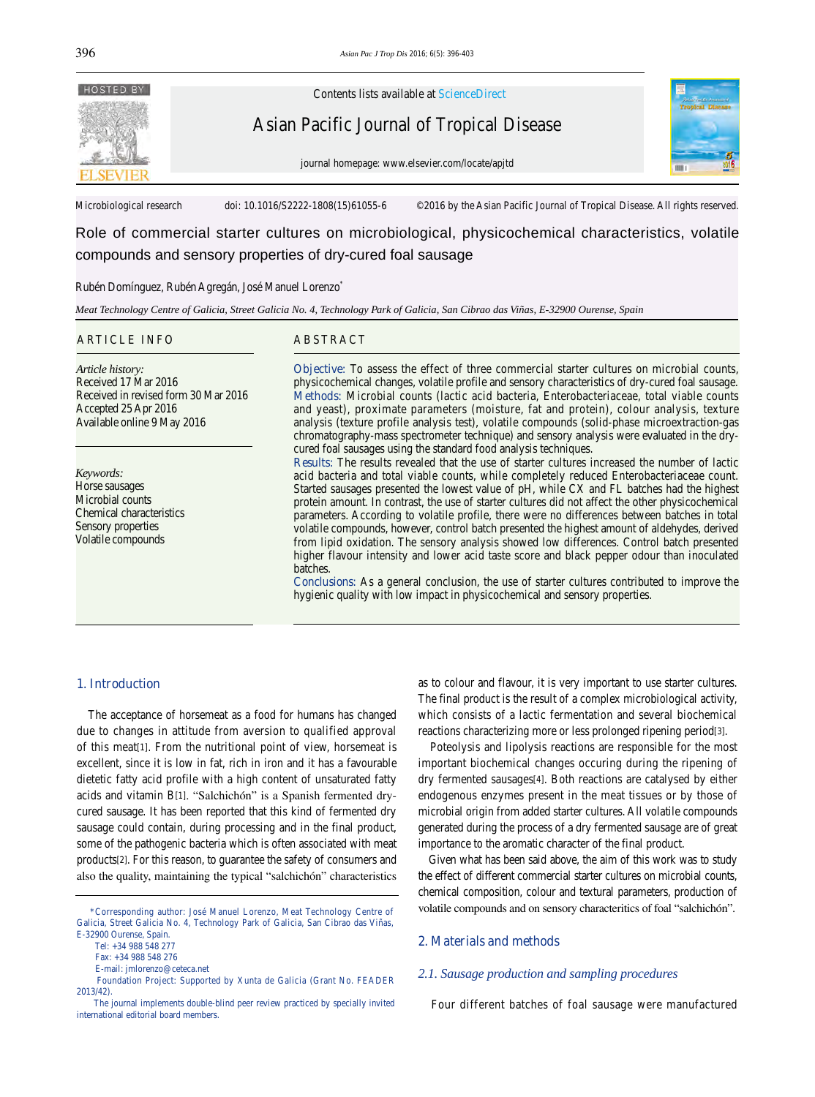

Contents lists available at ScienceDirect

Asian Pacific Journal of Tropical Disease



journal homepage: www.elsevier.com/locate/apjtd

Microbiological research doi: 10.1016/S2222-1808(15)61055-6 ©2016 by the Asian Pacific Journal of Tropical Disease. All rights reserved.

Role of commercial starter cultures on microbiological, physicochemical characteristics, volatile compounds and sensory properties of dry-cured foal sausage

#### Rubén Domínguez, Rubén Agregán, José Manuel Lorenzo\*

*Meat Technology Centre of Galicia, Street Galicia No. 4, Technology Park of Galicia, San Cibrao das Viñas, E-32900 Ourense, Spain*

## ARTICLE INFO ABSTRACT

*Article history:* Received 17 Mar 2016 Received in revised form 30 Mar 2016 Accepted 25 Apr 2016 Available online 9 May 2016

*Keywords:* Horse sausages Microbial counts Chemical characteristics Sensory properties Volatile compounds

**Objective:** To assess the effect of three commercial starter cultures on microbial counts, physicochemical changes, volatile profile and sensory characteristics of dry-cured foal sausage. **Methods:** Microbial counts (lactic acid bacteria, Enterobacteriaceae, total viable counts and yeast), proximate parameters (moisture, fat and protein), colour analysis, texture analysis (texture profile analysis test), volatile compounds (solid-phase microextraction-gas chromatography-mass spectrometer technique) and sensory analysis were evaluated in the drycured foal sausages using the standard food analysis techniques.

**Results:** The results revealed that the use of starter cultures increased the number of lactic acid bacteria and total viable counts, while completely reduced Enterobacteriaceae count. Started sausages presented the lowest value of pH, while CX and FL batches had the highest protein amount. In contrast, the use of starter cultures did not affect the other physicochemical parameters. According to volatile profile, there were no differences between batches in total volatile compounds, however, control batch presented the highest amount of aldehydes, derived from lipid oxidation. The sensory analysis showed low differences. Control batch presented higher flavour intensity and lower acid taste score and black pepper odour than inoculated batches.

**Conclusions:** As a general conclusion, the use of starter cultures contributed to improve the hygienic quality with low impact in physicochemical and sensory properties.

# **1. Introduction**

 The acceptance of horsemeat as a food for humans has changed due to changes in attitude from aversion to qualified approval of this meat[1]. From the nutritional point of view, horsemeat is excellent, since it is low in fat, rich in iron and it has a favourable dietetic fatty acid profile with a high content of unsaturated fatty acids and vitamin B[1]. "Salchichón" is a Spanish fermented drycured sausage. It has been reported that this kind of fermented dry sausage could contain, during processing and in the final product, some of the pathogenic bacteria which is often associated with meat products[2]. For this reason, to guarantee the safety of consumers and also the quality, maintaining the typical "salchichón" characteristics

Tel: +34 988 548 277

as to colour and flavour, it is very important to use starter cultures. The final product is the result of a complex microbiological activity, which consists of a lactic fermentation and several biochemical reactions characterizing more or less prolonged ripening period[3].

 Poteolysis and lipolysis reactions are responsible for the most important biochemical changes occuring during the ripening of dry fermented sausages[4]. Both reactions are catalysed by either endogenous enzymes present in the meat tissues or by those of microbial origin from added starter cultures. All volatile compounds generated during the process of a dry fermented sausage are of great importance to the aromatic character of the final product.

 Given what has been said above, the aim of this work was to study the effect of different commercial starter cultures on microbial counts, chemical composition, colour and textural parameters, production of volatile compounds and on sensory characteritics of foal "salchichón".

# **2. Materials and methods**

## *2.1. Sausage production and sampling procedures*

Four different batches of foal sausage were manufactured

 <sup>\*</sup>Corresponding author: José Manuel Lorenzo, Meat Technology Centre of Galicia, Street Galicia No. 4, Technology Park of Galicia, San Cibrao das Viñas, E-32900 Ourense, Spain.

Fax: +34 988 548 276

E-mail: jmlorenzo@ceteca.net

Foundation Project: Supported by Xunta de Galicia (Grant No. FEADER 2013/42).

The journal implements double-blind peer review practiced by specially invited international editorial board members.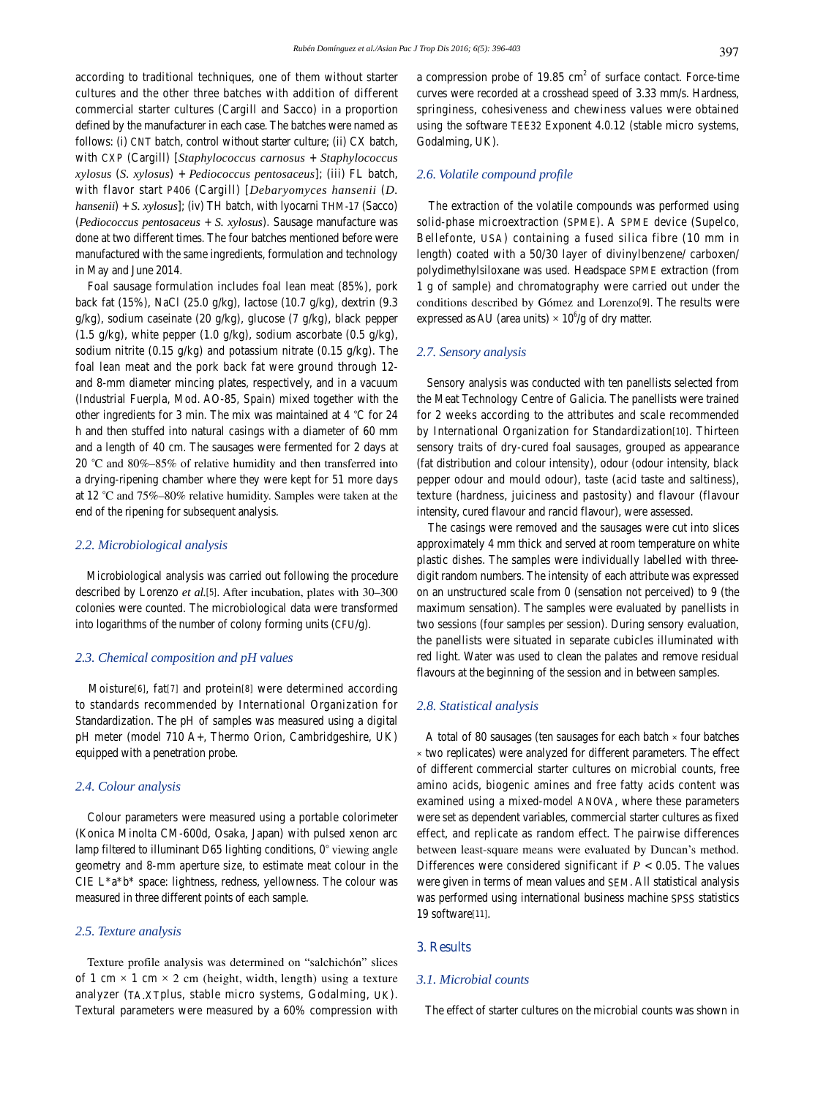according to traditional techniques, one of them without starter cultures and the other three batches with addition of different commercial starter cultures (Cargill and Sacco) in a proportion defined by the manufacturer in each case. The batches were named as follows: (i) CNT batch, control without starter culture; (ii) CX batch, with CXP (Cargill) [*Staphylococcus carnosus* + *Staphylococcus xylosus* (*S. xylosus*) + *Pediococcus pentosaceus*]; (iii) FL batch, with flavor start P406 (Cargill) [*Debaryomyces hansenii* (*D. hansenii*) + *S. xylosus*]; (iv) TH batch, with lyocarni THM-17 (Sacco) (*Pediococcus pentosaceus* + *S. xylosus*). Sausage manufacture was done at two different times. The four batches mentioned before were manufactured with the same ingredients, formulation and technology in May and June 2014.

 Foal sausage formulation includes foal lean meat (85%), pork back fat (15%), NaCl (25.0 g/kg), lactose (10.7 g/kg), dextrin (9.3 g/kg), sodium caseinate (20 g/kg), glucose (7 g/kg), black pepper (1.5 g/kg), white pepper (1.0 g/kg), sodium ascorbate (0.5 g/kg), sodium nitrite (0.15 g/kg) and potassium nitrate (0.15 g/kg). The foal lean meat and the pork back fat were ground through 12 and 8-mm diameter mincing plates, respectively, and in a vacuum (Industrial Fuerpla, Mod. AO-85, Spain) mixed together with the other ingredients for 3 min. The mix was maintained at 4 *°*C for 24 h and then stuffed into natural casings with a diameter of 60 mm and a length of 40 cm. The sausages were fermented for 2 days at 20 *°*C and 80%–85% of relative humidity and then transferred into a drying-ripening chamber where they were kept for 51 more days at 12 *°*C and 75%–80% relative humidity. Samples were taken at the end of the ripening for subsequent analysis.

# *2.2. Microbiological analysis*

 Microbiological analysis was carried out following the procedure described by Lorenzo *et al.*[5]. After incubation, plates with 30–300 colonies were counted. The microbiological data were transformed into logarithms of the number of colony forming units (CFU/g).

# *2.3. Chemical composition and pH values*

 Moisture[6], fat[7] and protein[8] were determined according to standards recommended by International Organization for Standardization. The pH of samples was measured using a digital pH meter (model 710 A+, Thermo Orion, Cambridgeshire, UK) equipped with a penetration probe.

# *2.4. Colour analysis*

 Colour parameters were measured using a portable colorimeter (Konica Minolta CM-600d, Osaka, Japan) with pulsed xenon arc lamp filtered to illuminant D65 lighting conditions, 0*°*°viewing angle geometry and 8-mm aperture size, to estimate meat colour in the CIE L\*a\*b\* space: lightness, redness, yellowness. The colour was measured in three different points of each sample.

### *2.5. Texture analysis*

 Texture profile analysis was determined on "salchichón" slices of 1 cm  $\times$  1 cm  $\times$  2 cm (height, width, length) using a texture analyzer (TA.XTplus, stable micro systems, Godalming, UK). Textural parameters were measured by a 60% compression with

a compression probe of  $19.85 \text{ cm}^2$  of surface contact. Force-time curves were recorded at a crosshead speed of 3.33 mm/s. Hardness, springiness, cohesiveness and chewiness values were obtained using the software TEE32 Exponent 4.0.12 (stable micro systems, Godalming, UK).

# *2.6. Volatile compound profile*

 The extraction of the volatile compounds was performed using solid-phase microextraction (SPME). A SPME device (Supelco, Bellefonte, USA) containing a fused silica fibre (10 mm in length) coated with a 50/30 layer of divinylbenzene/ carboxen/ polydimethylsiloxane was used. Headspace SPME extraction (from 1 g of sample) and chromatography were carried out under the conditions described by Gómez and Lorenzo[9]. The results were expressed as AU (area units)  $\times$  10<sup>6</sup>/g of dry matter.

#### *2.7. Sensory analysis*

 Sensory analysis was conducted with ten panellists selected from the Meat Technology Centre of Galicia. The panellists were trained for 2 weeks according to the attributes and scale recommended by International Organization for Standardization[10]. Thirteen sensory traits of dry-cured foal sausages, grouped as appearance (fat distribution and colour intensity), odour (odour intensity, black pepper odour and mould odour), taste (acid taste and saltiness), texture (hardness, juiciness and pastosity) and flavour (flavour intensity, cured flavour and rancid flavour), were assessed.

 The casings were removed and the sausages were cut into slices approximately 4 mm thick and served at room temperature on white plastic dishes. The samples were individually labelled with threedigit random numbers. The intensity of each attribute was expressed on an unstructured scale from 0 (sensation not perceived) to 9 (the maximum sensation). The samples were evaluated by panellists in two sessions (four samples per session). During sensory evaluation, the panellists were situated in separate cubicles illuminated with red light. Water was used to clean the palates and remove residual flavours at the beginning of the session and in between samples.

## *2.8. Statistical analysis*

 A total of 80 sausages (ten sausages for each batch × four batches × two replicates) were analyzed for different parameters. The effect of different commercial starter cultures on microbial counts, free amino acids, biogenic amines and free fatty acids content was examined using a mixed-model ANOVA, where these parameters were set as dependent variables, commercial starter cultures as fixed effect, and replicate as random effect. The pairwise differences between least-square means were evaluated by Duncan's method. Differences were considered significant if  $P < 0.05$ . The values were given in terms of mean values and SEM. All statistical analysis was performed using international business machine SPSS statistics 19 software[11].

# **3. Results**

#### *3.1. Microbial counts*

The effect of starter cultures on the microbial counts was shown in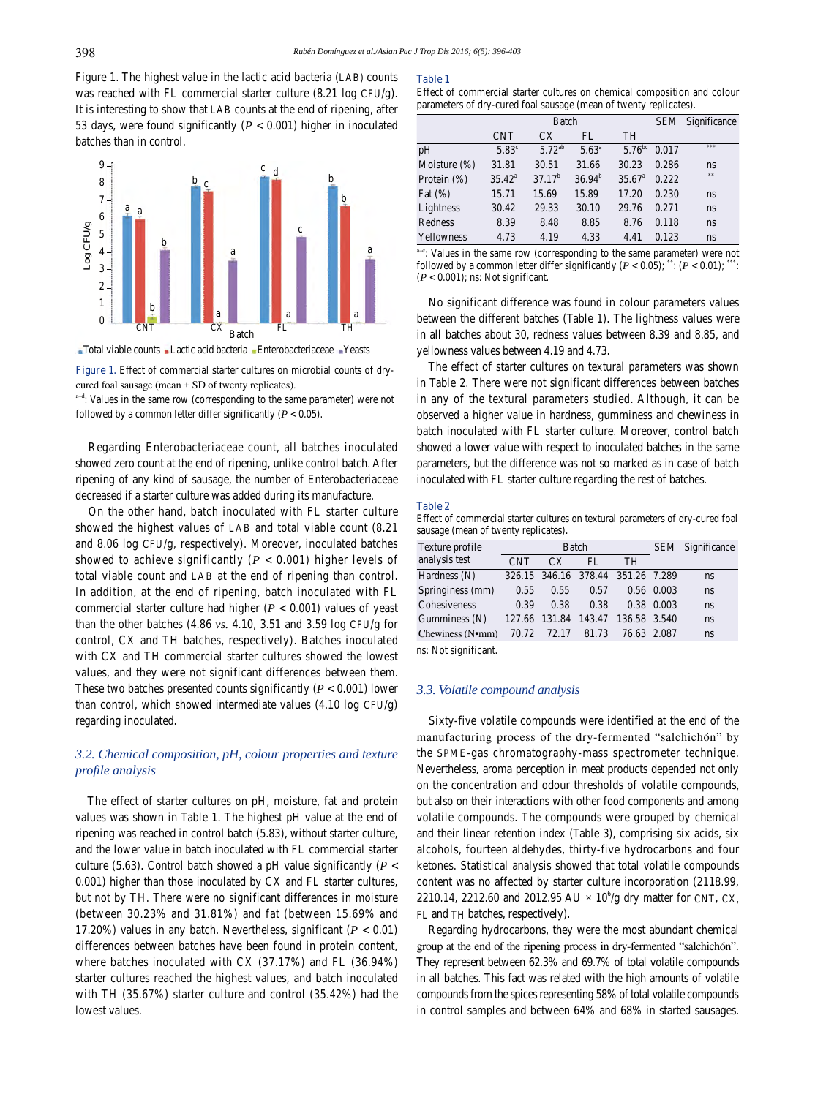Figure 1. The highest value in the lactic acid bacteria (LAB) counts was reached with FL commercial starter culture (8.21 log CFU/g). It is interesting to show that LAB counts at the end of ripening, after 53 days, were found significantly  $(P < 0.001)$  higher in inoculated batches than in control.



Total viable counts Lactic acid bacteria Enterobacteriaceae Yeasts

Figure 1. Effect of commercial starter cultures on microbial counts of drycured foal sausage (mean  $\pm$  SD of twenty replicates).

a<sup>-d</sup>: Values in the same row (corresponding to the same parameter) were not followed by a common letter differ significantly  $(P < 0.05)$ .

 Regarding Enterobacteriaceae count, all batches inoculated showed zero count at the end of ripening, unlike control batch. After ripening of any kind of sausage, the number of Enterobacteriaceae decreased if a starter culture was added during its manufacture.

 On the other hand, batch inoculated with FL starter culture showed the highest values of LAB and total viable count (8.21 and 8.06 log CFU/g, respectively). Moreover, inoculated batches showed to achieve significantly (*P* < 0.001) higher levels of total viable count and LAB at the end of ripening than control. In addition, at the end of ripening, batch inoculated with FL commercial starter culture had higher  $(P < 0.001)$  values of yeast than the other batches (4.86 *vs.* 4.10, 3.51 and 3.59 log CFU/g for control, CX and TH batches, respectively). Batches inoculated with CX and TH commercial starter cultures showed the lowest values, and they were not significant differences between them. These two batches presented counts significantly  $(P < 0.001)$  lower than control, which showed intermediate values (4.10 log CFU/g) regarding inoculated.

# *3.2. Chemical composition, pH, colour properties and texture profile analysis*

 The effect of starter cultures on pH, moisture, fat and protein values was shown in Table 1. The highest pH value at the end of ripening was reached in control batch (5.83), without starter culture, and the lower value in batch inoculated with FL commercial starter culture (5.63). Control batch showed a pH value significantly ( $P <$ 0.001) higher than those inoculated by CX and FL starter cultures, but not by TH. There were no significant differences in moisture (between 30.23% and 31.81%) and fat (between 15.69% and 17.20%) values in any batch. Nevertheless, significant (*P* < 0.01) differences between batches have been found in protein content, where batches inoculated with CX (37.17%) and FL (36.94%) starter cultures reached the highest values, and batch inoculated with TH (35.67%) starter culture and control (35.42%) had the lowest values.

### **Table 1**

Effect of commercial starter cultures on chemical composition and colour parameters of dry-cured foal sausage (mean of twenty replicates).

|                 |                | Batch       | <b>SEM</b>     | Significance       |       |     |
|-----------------|----------------|-------------|----------------|--------------------|-------|-----|
|                 | <b>CNT</b>     | CX          | FL             | <b>TH</b>          |       |     |
| pH              | $5.83^{\circ}$ | $5.72^{ab}$ | $5.63^{\circ}$ | $5.76^{bc}$        | 0.017 | *** |
| Moisture $(\%)$ | 31.81          | 30.51       | 31.66          | 30.23              | 0.286 | ns  |
| Protein $(\%)$  | $35.42^a$      | $37.17^{b}$ | $36.94^{b}$    | 35.67 <sup>a</sup> | 0.222 | **  |
| Fat $(\%)$      | 15.71          | 15.69       | 15.89          | 17.20              | 0.230 | ns  |
| Lightness       | 30.42          | 29.33       | 30.10          | 29.76              | 0.271 | ns  |
| Redness         | 8.39           | 8.48        | 8.85           | 8.76               | 0.118 | ns  |
| Yellowness      | 4.73           | 4.19        | 4.33           | 4.41               | 0.123 | ns  |

a-c: Values in the same row (corresponding to the same parameter) were not followed by a common letter differ significantly  $(P < 0.05)$ ; \*\*:  $(P < 0.01)$ ; \*\* (*P* < 0.001); ns: Not significant.

 No significant difference was found in colour parameters values between the different batches (Table 1). The lightness values were in all batches about 30, redness values between 8.39 and 8.85, and yellowness values between 4.19 and 4.73.

 The effect of starter cultures on textural parameters was shown in Table 2. There were not significant differences between batches in any of the textural parameters studied. Although, it can be observed a higher value in hardness, gumminess and chewiness in batch inoculated with FL starter culture. Moreover, control batch showed a lower value with respect to inoculated batches in the same parameters, but the difference was not so marked as in case of batch inoculated with FL starter culture regarding the rest of batches.

#### **Table 2**

Effect of commercial starter cultures on textural parameters of dry-cured foal sausage (mean of twenty replicates).

| Texture profile  |            | Batch                |                                   | SEM Significance |                |    |
|------------------|------------|----------------------|-----------------------------------|------------------|----------------|----|
| analysis test    | <b>CNT</b> | СX                   | FL.                               | <b>TH</b>        |                |    |
| Hardness $(N)$   |            |                      | 326.15 346.16 378.44 351.26 7.289 |                  |                | ns |
| Springiness (mm) | 0.55       | 0.55                 | 0.57                              |                  | $0.56$ $0.003$ | ns |
| Cohesiveness     | 0.39       | 0.38                 | 0.38                              |                  | 0.38 0.003     | ns |
| Gumminess $(N)$  |            | 127.66 131.84 143.47 |                                   | 136.58 3.540     |                | ns |
| Chewiness (N•mm) | 70.72      | 72.17                | 81.73                             | 76.63 2.087      |                | ns |

ns: Not significant.

## *3.3. Volatile compound analysis*

 Sixty-five volatile compounds were identified at the end of the manufacturing process of the dry-fermented "salchichón" by the SPME-gas chromatography-mass spectrometer technique. Nevertheless, aroma perception in meat products depended not only on the concentration and odour thresholds of volatile compounds, but also on their interactions with other food components and among volatile compounds. The compounds were grouped by chemical and their linear retention index (Table 3), comprising six acids, six alcohols, fourteen aldehydes, thirty-five hydrocarbons and four ketones. Statistical analysis showed that total volatile compounds content was no affected by starter culture incorporation (2118.99, 2210.14, 2212.60 and 2012.95 AU  $\times$  10<sup>6</sup>/g dry matter for CNT, CX, FL and TH batches, respectively).

 Regarding hydrocarbons, they were the most abundant chemical group at the end of the ripening process in dry-fermented "salchichón". They represent between 62.3% and 69.7% of total volatile compounds in all batches. This fact was related with the high amounts of volatile compounds from the spices representing 58% of total volatile compounds in control samples and between 64% and 68% in started sausages.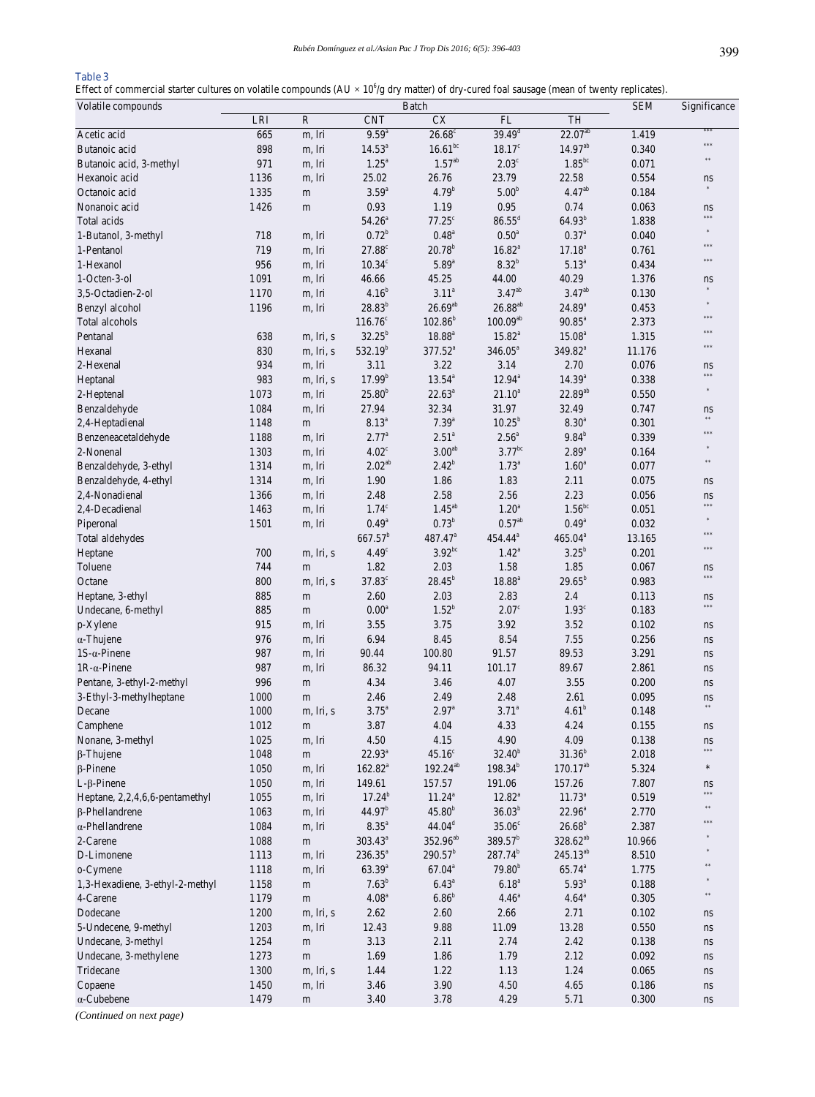# **Table 3**

Effect of commercial starter cultures on volatile compounds  $(AU \times 10^6/g)$  dry matter) of dry-cured foal sausage (mean of twenty replicates).

| Volatile compounds              | Batch    |             |                     |                       |                      |                      |        | Significance  |
|---------------------------------|----------|-------------|---------------------|-----------------------|----------------------|----------------------|--------|---------------|
|                                 | LRI      | ${\bf R}$   | <b>CNT</b>          | <b>CX</b>             | FL                   | TH                   |        |               |
| Acetic acid                     | 665      | m, lri      | $9.59^{a}$          | $26.68^{\circ}$       | $39.49^d$            | $22.07^{ab}$         | 1.419  | ***           |
| Butanoic acid                   | 898      | m, lri      | $14.53^a$           | $16.61$ <sup>bc</sup> | $18.17^c$            | $14.97^{ab}$         | 0.340  | ***           |
| Butanoic acid, 3-methyl         | 971      | m, lri      | $1.25^{\circ}$      | $1.57^{ab}$           | $2.03^{\circ}$       | $1.85^{\rm bc}$      | 0.071  | $\pm\pm$      |
| Hexanoic acid                   | 1136     | m, lri      | 25.02               | 26.76                 | 23.79                | 22.58                | 0.554  | ns            |
| Octanoic acid                   | 1335     | m           | $3.59^{a}$          | $4.79^{b}$            | 5.00 <sup>b</sup>    | 4.47 <sup>ab</sup>   | 0.184  | $\ast$        |
| Nonanoic acid                   | 1426     | m           | 0.93                | 1.19                  | 0.95                 | 0.74                 | 0.063  | ns            |
| Total acids                     |          |             | $54.26^a$           | $77.25^{\circ}$       | $86.55^{\rm d}$      | $64.93^{b}$          | 1.838  | ***           |
| 1-Butanol, 3-methyl             | 718      | m, lri      | $0.72^{b}$          | $0.48^{a}$            | $0.50^{\mathrm{a}}$  | $0.37^{\rm a}$       | 0.040  | $\ast$        |
| 1-Pentanol                      | 719      | m, lri      | $27.88^\circ$       | $20.78^{b}$           | $16.82^{a}$          | $17.18^{a}$          | 0.761  | ***           |
| 1-Hexanol                       | 956      | m, lri      | $10.34^\circ$       | $5.89^{a}$            | $8.32^{b}$           | $5.13^{a}$           | 0.434  | ***           |
| 1-Octen-3-ol                    | 1091     | m, lri      | 46.66               | 45.25                 | 44.00                | 40.29                | 1.376  | ns            |
| 3.5-Octadien-2-ol               | 1170     | m, lri      | $4.16^{b}$          | $3.11^{a}$            | $3.47^{ab}$          | $3.47^{ab}$          | 0.130  | $\frac{1}{2}$ |
| Benzyl alcohol                  | 1196     | m, lri      | $28.83^{b}$         | $26.69^{ab}$          | $26.88^{\rm ab}$     | $24.89^{a}$          | 0.453  | $\ast$        |
| Total alcohols                  |          |             | $116.76^{\circ}$    | $102.86^{b}$          | $100.09^{ab}$        | $90.85^{\circ}$      | 2.373  | ***           |
| Pentanal                        | 638      | m, lri, s   | $32.25^{b}$         | $18.88^{a}$           | $15.82^{a}$          | $15.08^{a}$          | 1.315  | ***           |
| Hexanal                         | 830      | m, lri, s   | $532.19^{b}$        | $377.52^{a}$          | $346.05^a$           | 349.82 <sup>a</sup>  | 11.176 | ***           |
| 2-Hexenal                       | 934      | m, lri      | 3.11                | 3.22                  | 3.14                 | 2.70                 | 0.076  | ns            |
| Heptanal                        | 983      | m, lri, s   | $17.99^{b}$         | $13.54^{a}$           | $12.94^{\circ}$      | $14.39^{a}$          | 0.338  | ***           |
| 2-Heptenal                      | 1073     | m, lri      | $25.80^{b}$         | $22.63^a$             | $21.10^{a}$          | $22.89^{ab}$         | 0.550  | $\ast$        |
| Benzaldehyde                    | 1084     | m, lri      | 27.94               | 32.34                 | 31.97                | 32.49                | 0.747  | ns            |
| 2,4-Heptadienal                 | 1148     | m           | $8.13^{a}$          | $7.39^{a}$            | $10.25^{b}$          | $8.30^{a}$           | 0.301  | $\pm\pm$      |
| Benzeneacetaldehyde             | 1188     | m, lri      | $2.77^{\circ}$      | $2.51^a$              | $2.56^a$             | $9.84^b$             | 0.339  | ***           |
| 2-Nonenal                       | 1303     | m, lri      | $4.02^{\circ}$      | 3.00 <sup>ab</sup>    | $3.77$ <sup>bc</sup> | $2.89^{\mathrm{a}}$  | 0.164  | $\ast$        |
| Benzaldehyde, 3-ethyl           | 1314     | m, lri      | $2.02^{ab}$         | $2.42^{b}$            | $1.73^{a}$           | $1.60^{\circ}$       | 0.077  | $\pm\pm$      |
| Benzaldehyde, 4-ethyl           | 1314     | m, lri      | 1.90                | 1.86                  | 1.83                 | 2.11                 | 0.075  | ns            |
| 2,4-Nonadienal                  | 1366     | m, lri      | 2.48                | 2.58                  | 2.56                 | 2.23                 | 0.056  | ns            |
| 2,4-Decadienal                  | 1463     | m, lri      | $1.74^\circ$        | $1.45^{ab}$           | 1.20 <sup>a</sup>    | $1.56^{bc}$          | 0.051  | ***           |
| Piperonal                       | 1501     | m, lri      | $0.49^{a}$          | $0.73^b$              | $0.57^{ab}$          | $0.49^{\rm a}$       | 0.032  | $\ast$        |
| Total aldehydes                 |          |             | $667.57^b$          | 487.47 <sup>a</sup>   | 454.44 <sup>a</sup>  | $465.04^a$           | 13.165 | ***           |
| Heptane                         | 700      | m, lri, s   | 4.49 <sup>c</sup>   | $3.92^{bc}$           | $1.42^a$             | $3.25^b$             | 0.201  | ***           |
| Toluene                         | 744      | ${\rm m}$   | 1.82                | 2.03                  | 1.58                 | 1.85                 | 0.067  | ns            |
| Octane                          | 800      | m, lri, s   | $37.83^\circ$       | $28.45^{b}$           | $18.88^{\rm a}$      | $29.65^{\rm b}$      | 0.983  | ***           |
| Heptane, 3-ethyl                | 885      | m           | 2.60                | 2.03                  | 2.83                 | 2.4                  | 0.113  | ns            |
| Undecane, 6-methyl              | 885      | m           | 0.00 <sup>a</sup>   | $1.52^{b}$            | 2.07 <sup>c</sup>    | 1.93 <sup>c</sup>    | 0.183  | ***           |
| p-Xylene                        | 915      | m, lri      | 3.55                | 3.75                  | 3.92                 | 3.52                 | 0.102  | ns            |
| $\alpha$ -Thujene               | 976      | m, lri      | 6.94                | 8.45                  | 8.54                 | 7.55                 | 0.256  | ns            |
| $1S-\alpha$ -Pinene             | 987      | m, lri      | 90.44               | 100.80                | 91.57                | 89.53                | 3.291  | ns            |
| $1R-\alpha$ -Pinene             | 987      | m, lri      | 86.32               | 94.11                 | 101.17               | 89.67                | 2.861  | ns            |
| Pentane, 3-ethyl-2-methyl       | 996      | m           | 4.34                | 3.46                  | 4.07                 | 3.55                 | 0.200  | ns            |
| 3-Ethyl-3-methylheptane         | $1\,000$ | m           | 2.46                | 2.49                  | 2.48                 | 2.61                 | 0.095  | ns            |
| Decane                          | 1000     | m, lri, s   | $3.75^{\circ}$      | $2.97^{\circ}$        | $3.71^a$             | 4.61 <sup>b</sup>    | 0.148  | $\pm\pm$      |
| Camphene                        | 1012     | m           | 3.87                | 4.04                  | 4.33                 | 4.24                 | 0.155  | ns            |
| Nonane, 3-methyl                | 1025     | m, lri      | 4.50                | 4.15                  | 4.90                 | 4.09                 | 0.138  | ns            |
| $\beta$ -Thujene                | $1\,048$ | m           | $22.93^a$           | 45.16 <sup>c</sup>    | $32.40^{b}$          | $31.36^{b}$          | 2.018  | ***           |
| $\beta$ -Pinene                 | 1050     | m, lri      | $162.82^{a}$        | $192.24^{ab}$         | $198.34^{b}$         | $170.17^{ab}$        | 5.324  | $\ast$        |
| $L$ - $\beta$ -Pinene           | 1050     | m, lri      | 149.61              | 157.57                | 191.06               | 157.26               | 7.807  | ns            |
| Heptane, 2,2,4,6,6-pentamethyl  | 1055     | m, lri      | $17.24^b$           | $11.24^a$             | $12.82^{\circ}$      | $11.73^a$            | 0.519  | ***           |
| $\beta$ -Phellandrene           | 1063     | m, lri      | 44.97 <sup>b</sup>  | $45.80^{b}$           | $36.03^{b}$          | $22.96^{\circ}$      | 2.770  | $\pm\pm$      |
| $\alpha$ -Phellandrene          | 1084     | m, lri      | $8.35^{\mathrm{a}}$ | $44.04^d$             | 35.06 <sup>c</sup>   | $26.68^{b}$          | 2.387  | 未来考           |
| 2-Carene                        | 1088     | m           | $303.43^a$          | 352.96 <sup>ab</sup>  | $389.57^b$           | 328.62 <sup>ab</sup> | 10.966 |               |
| D-Limonene                      | 1113     | m, lri      | $236.35^a$          | $290.57^b$            | $287.74^{b}$         | 245.13 <sup>ab</sup> | 8.510  |               |
| o-Cymene                        | 1118     | m, lri      | $63.39^{a}$         | $67.04^{\circ}$       | 79.80 <sup>b</sup>   | $65.74^{a}$          | 1.775  |               |
| 1,3-Hexadiene, 3-ethyl-2-methyl | 1158     | m           | $7.63^b$            | $6.43^{\circ}$        | $6.18^{a}$           | $5.93^{\mathrm{a}}$  | 0.188  |               |
| 4-Carene                        | 1179     | m           | $4.08^{\mathrm{a}}$ | $6.86^{\rm b}$        | 4.46 <sup>a</sup>    | $4.64^{\circ}$       | 0.305  | $\pm\pm$      |
| Dodecane                        | 1200     | m, lri, s   | 2.62                | 2.60                  | 2.66                 | 2.71                 | 0.102  | ns            |
| 5-Undecene, 9-methyl            | 1203     | m, lri      | 12.43               | 9.88                  | 11.09                | 13.28                | 0.550  | ns            |
| Undecane, 3-methyl              | 1254     | m           | 3.13                | 2.11                  | 2.74                 | 2.42                 | 0.138  | ns            |
| Undecane, 3-methylene           | 1273     | $\mathbf m$ | 1.69                | 1.86                  | 1.79                 | 2.12                 | 0.092  | ns            |
| Tridecane                       | 1300     | m, lri, s   | 1.44                | 1.22                  | 1.13                 | 1.24                 | 0.065  | ns            |
| Copaene                         | 1450     | m, lri      | 3.46                | 3.90                  | 4.50                 | 4.65                 | 0.186  | ns            |
| $\alpha$ -Cubebene              | 1479     | ${\rm m}$   | 3.40                | 3.78                  | 4.29                 | 5.71                 | 0.300  | ns            |
|                                 |          |             |                     |                       |                      |                      |        |               |

*(Continued on next page)*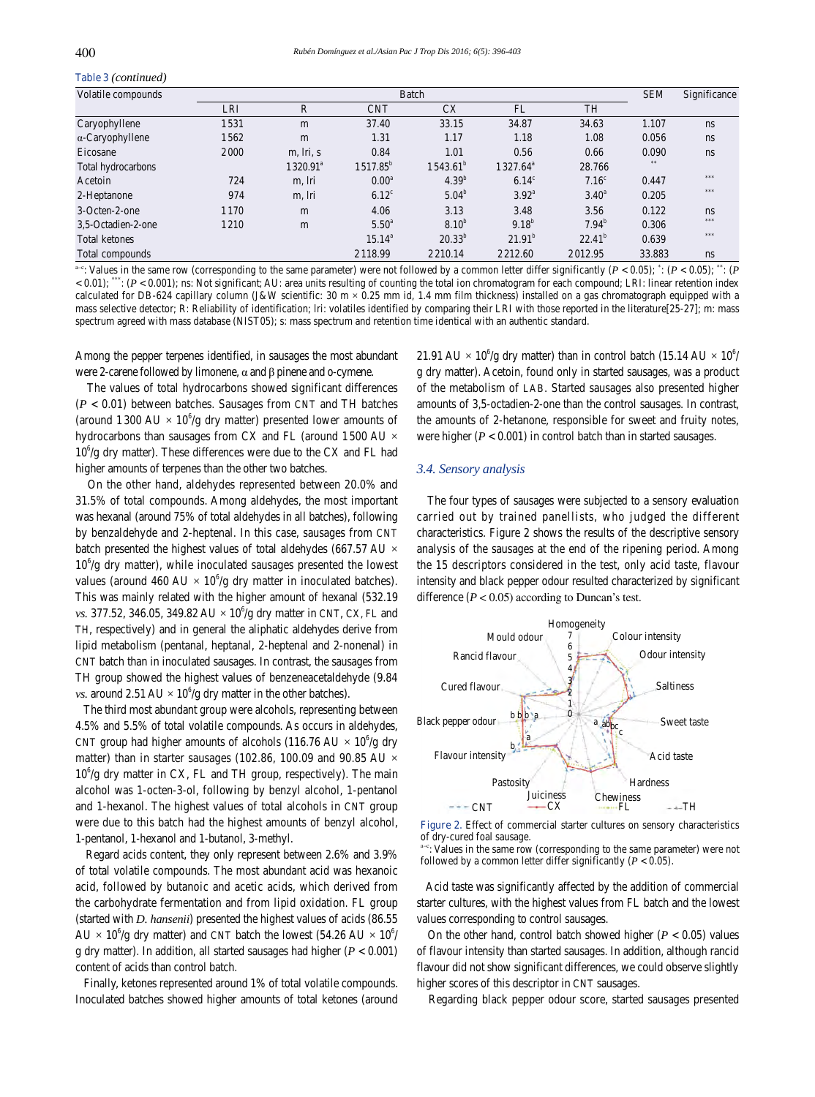# **Table 3** *(continued)*

| Volatile compounds      |            | <b>SEM</b>           | Significance      |                      |                   |                   |        |     |
|-------------------------|------------|----------------------|-------------------|----------------------|-------------------|-------------------|--------|-----|
|                         | <b>LRI</b> | R                    | <b>CNT</b>        | <b>CX</b>            | FL                | TH                |        |     |
| Caryophyllene           | 1531       | m                    | 37.40             | 33.15                | 34.87             | 34.63             | 1.107  | ns  |
| $\alpha$ -Caryophyllene | 1562       | m                    | 1.31              | 1.17                 | 1.18              | 1.08              | 0.056  | ns  |
| Eicosane                | 2000       | m, lri, s            | 0.84              | 1.01                 | 0.56              | 0.66              | 0.090  | ns  |
| Total hydrocarbons      |            | 1320.91 <sup>a</sup> | $1517.85^b$       | 1543.61 <sup>b</sup> | $1327.64^{\circ}$ | 28.766            |        |     |
| Acetoin                 | 724        | m, lri               | 0.00 <sup>a</sup> | $4.39^{b}$           | $6.14^{\circ}$    | 7.16 <sup>c</sup> | 0.447  | *** |
| 2-Heptanone             | 974        | m, lri               | $6.12^{\circ}$    | $5.04^b$             | $3.92^{\circ}$    | $3.40^{\circ}$    | 0.205  | *** |
| 3-Octen-2-one           | 1 1 7 0    | m                    | 4.06              | 3.13                 | 3.48              | 3.56              | 0.122  | ns  |
| 3,5-Octadien-2-one      | 1210       | m                    | $5.50^{\circ}$    | 8.10 <sup>b</sup>    | $9.18^{b}$        | $7.94^b$          | 0.306  | *** |
| <b>Total ketones</b>    |            |                      | $15.14^{\circ}$   | $20.33^{b}$          | $21.91^b$         | $22.41^b$         | 0.639  | *** |
| Total compounds         |            |                      | 2118.99           | 2210.14              | 2212.60           | 2012.95           | 33.883 | ns  |

 $e^{ac}$ : Values in the same row (corresponding to the same parameter) were not followed by a common letter differ significantly ( $P < 0.05$ );  $\cdot$ ; ( $P < 0.05$ );  $\cdot$ ; ( $P$  $< 0.01$ ;  $\cdot\cdot\cdot$ ; ( $P < 0.001$ ); ns: Not significant; AU: area units resulting of counting the total ion chromatogram for each compound; LRI: linear retention index calculated for DB-624 capillary column (J&W scientific:  $30 \text{ m} \times 0.25 \text{ mm}$  id, 1.4 mm film thickness) installed on a gas chromatograph equipped with a mass selective detector; R: Reliability of identification; lri: volatiles identified by comparing their LRI with those reported in the literature[25-27]; m: mass spectrum agreed with mass database (NIST05); s: mass spectrum and retention time identical with an authentic standard.

Among the pepper terpenes identified, in sausages the most abundant were 2-carene followed by limonene, α and β pinene and o-cymene.

 The values of total hydrocarbons showed significant differences (*P* < 0.01) between batches. Sausages from CNT and TH batches (around 1300 AU  $\times$  10<sup>6</sup>/g dry matter) presented lower amounts of hydrocarbons than sausages from CX and FL (around 1500 AU  $\times$ 10<sup>6</sup>/g dry matter). These differences were due to the CX and FL had higher amounts of terpenes than the other two batches.

 On the other hand, aldehydes represented between 20.0% and 31.5% of total compounds. Among aldehydes, the most important was hexanal (around 75% of total aldehydes in all batches), following by benzaldehyde and 2-heptenal. In this case, sausages from CNT batch presented the highest values of total aldehydes (667.57 AU ×  $10^6$ /g dry matter), while inoculated sausages presented the lowest values (around 460 AU  $\times$  10<sup>6</sup>/g dry matter in inoculated batches). This was mainly related with the higher amount of hexanal (532.19 *vs.* 377.52, 346.05, 349.82 AU  $\times$  10<sup>6</sup>/g dry matter in CNT, CX, FL and TH, respectively) and in general the aliphatic aldehydes derive from lipid metabolism (pentanal, heptanal, 2-heptenal and 2-nonenal) in CNT batch than in inoculated sausages. In contrast, the sausages from TH group showed the highest values of benzeneacetaldehyde (9.84 *vs.* around  $2.51 \text{ AU} \times 10^6/\text{g}$  dry matter in the other batches).

 The third most abundant group were alcohols, representing between 4.5% and 5.5% of total volatile compounds. As occurs in aldehydes, CNT group had higher amounts of alcohols (116.76 AU  $\times$  10<sup>6</sup>/g dry matter) than in starter sausages (102.86, 100.09 and 90.85 AU  $\times$ 10<sup>6</sup>/g dry matter in CX, FL and TH group, respectively). The main alcohol was 1-octen-3-ol, following by benzyl alcohol, 1-pentanol and 1-hexanol. The highest values of total alcohols in CNT group were due to this batch had the highest amounts of benzyl alcohol, 1-pentanol, 1-hexanol and 1-butanol, 3-methyl.

 Regard acids content, they only represent between 2.6% and 3.9% of total volatile compounds. The most abundant acid was hexanoic acid, followed by butanoic and acetic acids, which derived from the carbohydrate fermentation and from lipid oxidation. FL group (started with *D. hansenii*) presented the highest values of acids (86.55  $AU \times 10^{6}/g$  dry matter) and CNT batch the lowest (54.26 AU  $\times 10^{6}/g$ g dry matter). In addition, all started sausages had higher (*P* < 0.001) content of acids than control batch.

 Finally, ketones represented around 1% of total volatile compounds. Inoculated batches showed higher amounts of total ketones (around

21.91 AU  $\times$  10<sup>6</sup>/g dry matter) than in control batch (15.14 AU  $\times$  10<sup>6</sup>/ g dry matter). Acetoin, found only in started sausages, was a product of the metabolism of LAB. Started sausages also presented higher amounts of 3,5-octadien-2-one than the control sausages. In contrast, the amounts of 2-hetanone, responsible for sweet and fruity notes, were higher  $(P < 0.001)$  in control batch than in started sausages.

## *3.4. Sensory analysis*

 The four types of sausages were subjected to a sensory evaluation carried out by trained panellists, who judged the different characteristics. Figure 2 shows the results of the descriptive sensory analysis of the sausages at the end of the ripening period. Among the 15 descriptors considered in the test, only acid taste, flavour intensity and black pepper odour resulted characterized by significant difference  $(P < 0.05)$  according to Duncan's test.



**Figure 2.** Effect of commercial starter cultures on sensory characteristics of dry-cured foal sausage.

 $\epsilon$ : Values in the same row (corresponding to the same parameter) were not followed by a common letter differ significantly  $(P < 0.05)$ .

 Acid taste was significantly affected by the addition of commercial starter cultures, with the highest values from FL batch and the lowest values corresponding to control sausages.

On the other hand, control batch showed higher  $(P < 0.05)$  values of flavour intensity than started sausages. In addition, although rancid flavour did not show significant differences, we could observe slightly higher scores of this descriptor in CNT sausages.

Regarding black pepper odour score, started sausages presented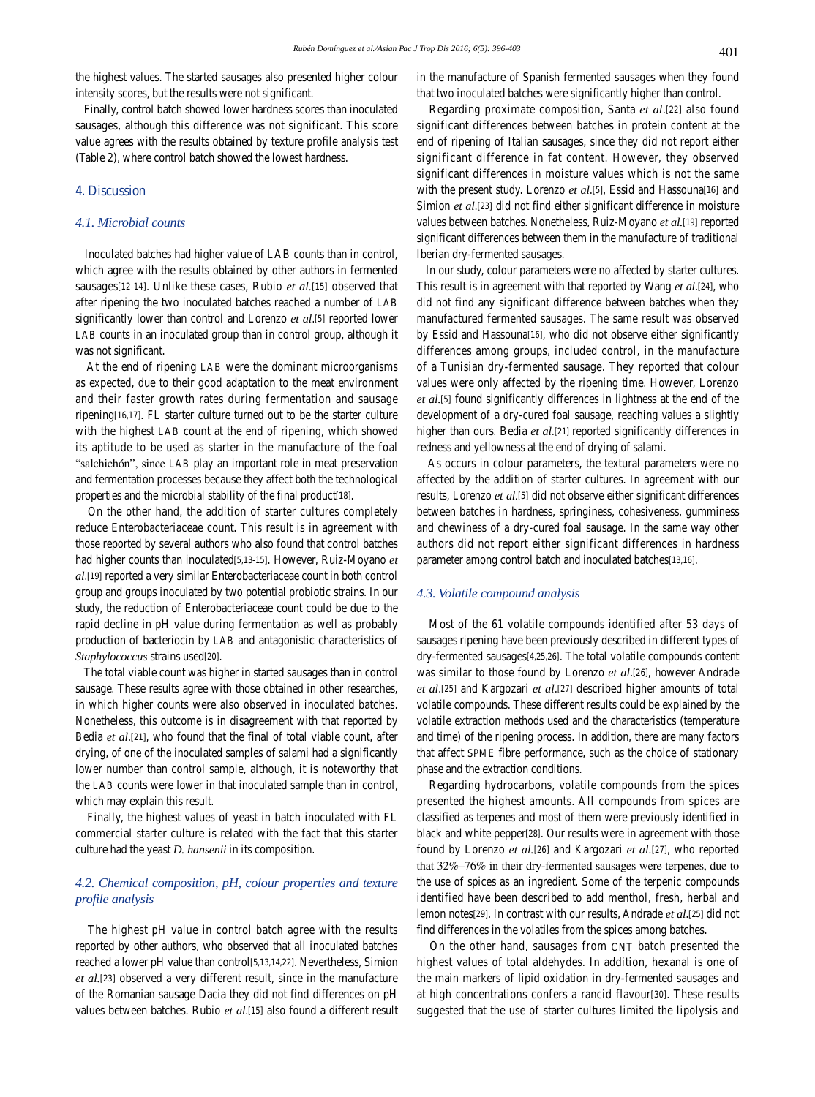the highest values. The started sausages also presented higher colour intensity scores, but the results were not significant.

 Finally, control batch showed lower hardness scores than inoculated sausages, although this difference was not significant. This score value agrees with the results obtained by texture profile analysis test (Table 2), where control batch showed the lowest hardness.

# **4. Discussion**

# *4.1. Microbial counts*

 Inoculated batches had higher value of LAB counts than in control, which agree with the results obtained by other authors in fermented sausages[12-14]. Unlike these cases, Rubio *et al.*[15] observed that after ripening the two inoculated batches reached a number of LAB significantly lower than control and Lorenzo *et al*.[5] reported lower LAB counts in an inoculated group than in control group, although it was not significant.

 At the end of ripening LAB were the dominant microorganisms as expected, due to their good adaptation to the meat environment and their faster growth rates during fermentation and sausage ripening[16,17]. FL starter culture turned out to be the starter culture with the highest LAB count at the end of ripening, which showed its aptitude to be used as starter in the manufacture of the foal "salchichón", since LAB play an important role in meat preservation and fermentation processes because they affect both the technological properties and the microbial stability of the final product[18].

 On the other hand, the addition of starter cultures completely reduce Enterobacteriaceae count. This result is in agreement with those reported by several authors who also found that control batches had higher counts than inoculated[5,13-15]. However, Ruiz-Moyano *et al*.[19] reported a very similar Enterobacteriaceae count in both control group and groups inoculated by two potential probiotic strains. In our study, the reduction of Enterobacteriaceae count could be due to the rapid decline in pH value during fermentation as well as probably production of bacteriocin by LAB and antagonistic characteristics of *Staphylococcus* strains used[20].

 The total viable count was higher in started sausages than in control sausage. These results agree with those obtained in other researches, in which higher counts were also observed in inoculated batches. Nonetheless, this outcome is in disagreement with that reported by Bedia *et al*.[21], who found that the final of total viable count, after drying, of one of the inoculated samples of salami had a significantly lower number than control sample, although, it is noteworthy that the LAB counts were lower in that inoculated sample than in control, which may explain this result.

 Finally, the highest values of yeast in batch inoculated with FL commercial starter culture is related with the fact that this starter culture had the yeast *D. hansenii* in its composition.

# *4.2. Chemical composition, pH, colour properties and texture profile analysis*

 The highest pH value in control batch agree with the results reported by other authors, who observed that all inoculated batches reached a lower pH value than control[5,13,14,22]. Nevertheless, Simion *et al.*[23] observed a very different result, since in the manufacture of the Romanian sausage Dacia they did not find differences on pH values between batches. Rubio *et al*.[15] also found a different result in the manufacture of Spanish fermented sausages when they found that two inoculated batches were significantly higher than control.

 Regarding proximate composition, Santa *et al*.[22] also found significant differences between batches in protein content at the end of ripening of Italian sausages, since they did not report either significant difference in fat content. However, they observed significant differences in moisture values which is not the same with the present study. Lorenzo *et al*.[5], Essid and Hassouna[16] and Simion *et al*.[23] did not find either significant difference in moisture values between batches. Nonetheless, Ruiz-Moyano *et al.*[19] reported significant differences between them in the manufacture of traditional Iberian dry-fermented sausages.

 In our study, colour parameters were no affected by starter cultures. This result is in agreement with that reported by Wang *et al*.[24], who did not find any significant difference between batches when they manufactured fermented sausages. The same result was observed by Essid and Hassouna[16], who did not observe either significantly differences among groups, included control, in the manufacture of a Tunisian dry-fermented sausage. They reported that colour values were only affected by the ripening time. However, Lorenzo *et al.*[5] found significantly differences in lightness at the end of the development of a dry-cured foal sausage, reaching values a slightly higher than ours. Bedia *et al*.[21] reported significantly differences in redness and yellowness at the end of drying of salami.

 As occurs in colour parameters, the textural parameters were no affected by the addition of starter cultures. In agreement with our results, Lorenzo *et al.*[5] did not observe either significant differences between batches in hardness, springiness, cohesiveness, gumminess and chewiness of a dry-cured foal sausage. In the same way other authors did not report either significant differences in hardness parameter among control batch and inoculated batches[13,16].

# *4.3. Volatile compound analysis*

 Most of the 61 volatile compounds identified after 53 days of sausages ripening have been previously described in different types of dry-fermented sausages[4,25,26]. The total volatile compounds content was similar to those found by Lorenzo *et al*.[26], however Andrade *et al*.[25] and Kargozari *et al*.[27] described higher amounts of total volatile compounds. These different results could be explained by the volatile extraction methods used and the characteristics (temperature and time) of the ripening process. In addition, there are many factors that affect SPME fibre performance, such as the choice of stationary phase and the extraction conditions.

 Regarding hydrocarbons, volatile compounds from the spices presented the highest amounts. All compounds from spices are classified as terpenes and most of them were previously identified in black and white pepper[28]. Our results were in agreement with those found by Lorenzo *et al.*[26] and Kargozari *et al.*[27], who reported that 32%–76% in their dry-fermented sausages were terpenes, due to the use of spices as an ingredient. Some of the terpenic compounds identified have been described to add menthol, fresh, herbal and lemon notes[29]. In contrast with our results, Andrade *et al*.[25] did not find differences in the volatiles from the spices among batches.

 On the other hand, sausages from CNT batch presented the highest values of total aldehydes. In addition, hexanal is one of the main markers of lipid oxidation in dry-fermented sausages and at high concentrations confers a rancid flavour[30]. These results suggested that the use of starter cultures limited the lipolysis and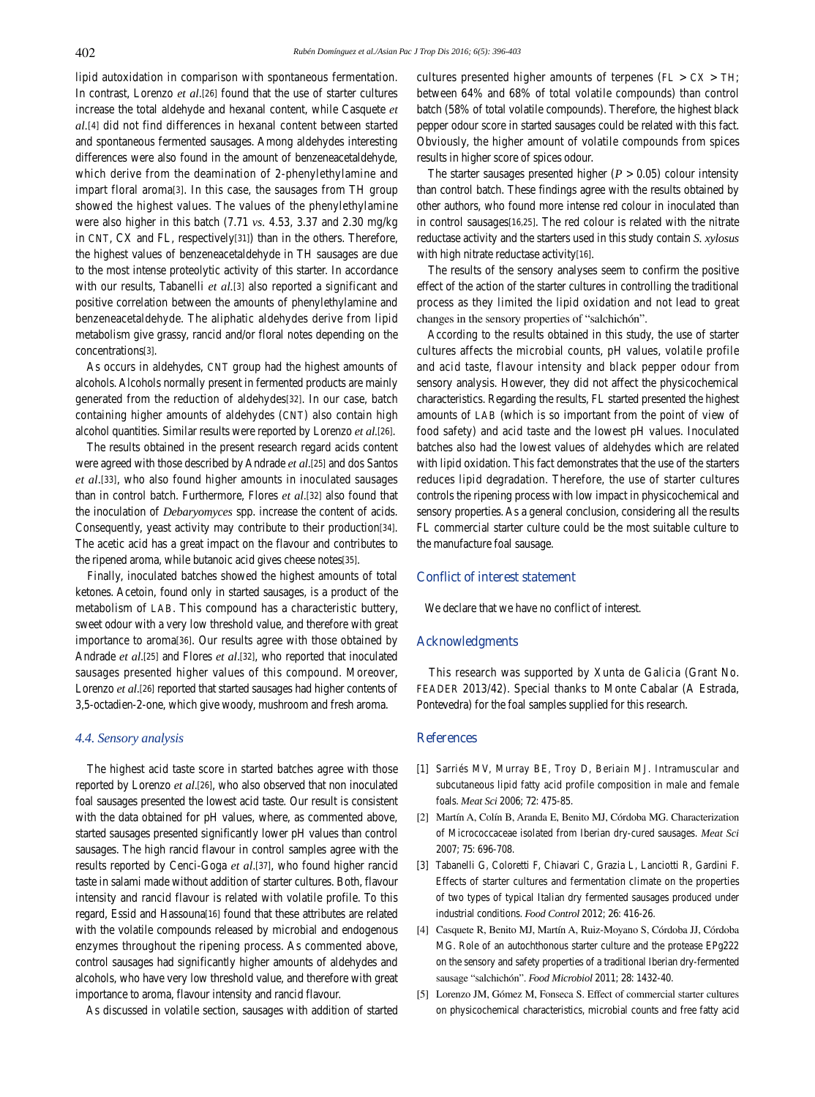lipid autoxidation in comparison with spontaneous fermentation. In contrast, Lorenzo *et al*.[26] found that the use of starter cultures increase the total aldehyde and hexanal content, while Casquete *et al.*[4] did not find differences in hexanal content between started and spontaneous fermented sausages. Among aldehydes interesting differences were also found in the amount of benzeneacetaldehyde, which derive from the deamination of 2-phenylethylamine and impart floral aroma[3]. In this case, the sausages from TH group showed the highest values. The values of the phenylethylamine were also higher in this batch (7.71 *vs.* 4.53, 3.37 and 2.30 mg/kg in CNT, CX and FL, respectively[31]) than in the others. Therefore, the highest values of benzeneacetaldehyde in TH sausages are due to the most intense proteolytic activity of this starter. In accordance with our results, Tabanelli *et al.*[3] also reported a significant and positive correlation between the amounts of phenylethylamine and benzeneacetaldehyde. The aliphatic aldehydes derive from lipid metabolism give grassy, rancid and/or floral notes depending on the concentrations[3].

 As occurs in aldehydes, CNT group had the highest amounts of alcohols. Alcohols normally present in fermented products are mainly generated from the reduction of aldehydes[32]. In our case, batch containing higher amounts of aldehydes (CNT) also contain high alcohol quantities. Similar results were reported by Lorenzo *et al.*[26].

 The results obtained in the present research regard acids content were agreed with those described by Andrade *et al*.[25] and dos Santos *et al*.[33], who also found higher amounts in inoculated sausages than in control batch. Furthermore, Flores *et al*.[32] also found that the inoculation of *Debaryomyces* spp. increase the content of acids. Consequently, yeast activity may contribute to their production[34]. The acetic acid has a great impact on the flavour and contributes to the ripened aroma, while butanoic acid gives cheese notes[35].

 Finally, inoculated batches showed the highest amounts of total ketones. Acetoin, found only in started sausages, is a product of the metabolism of LAB. This compound has a characteristic buttery, sweet odour with a very low threshold value, and therefore with great importance to aroma[36]. Our results agree with those obtained by Andrade *et al*.[25] and Flores *et al*.[32], who reported that inoculated sausages presented higher values of this compound. Moreover, Lorenzo *et al*.[26] reported that started sausages had higher contents of 3,5-octadien-2-one, which give woody, mushroom and fresh aroma.

## *4.4. Sensory analysis*

 The highest acid taste score in started batches agree with those reported by Lorenzo *et al*.[26], who also observed that non inoculated foal sausages presented the lowest acid taste. Our result is consistent with the data obtained for pH values, where, as commented above, started sausages presented significantly lower pH values than control sausages. The high rancid flavour in control samples agree with the results reported by Cenci-Goga *et al*.[37], who found higher rancid taste in salami made without addition of starter cultures. Both, flavour intensity and rancid flavour is related with volatile profile. To this regard, Essid and Hassouna[16] found that these attributes are related with the volatile compounds released by microbial and endogenous enzymes throughout the ripening process. As commented above, control sausages had significantly higher amounts of aldehydes and alcohols, who have very low threshold value, and therefore with great importance to aroma, flavour intensity and rancid flavour.

As discussed in volatile section, sausages with addition of started

cultures presented higher amounts of terpenes ( $FL > CX > TH$ ; between 64% and 68% of total volatile compounds) than control batch (58% of total volatile compounds). Therefore, the highest black pepper odour score in started sausages could be related with this fact. Obviously, the higher amount of volatile compounds from spices results in higher score of spices odour.

The starter sausages presented higher  $(P > 0.05)$  colour intensity than control batch. These findings agree with the results obtained by other authors, who found more intense red colour in inoculated than in control sausages[16,25]. The red colour is related with the nitrate reductase activity and the starters used in this study contain *S. xylosus*  with high nitrate reductase activity[16].

 The results of the sensory analyses seem to confirm the positive effect of the action of the starter cultures in controlling the traditional process as they limited the lipid oxidation and not lead to great changes in the sensory properties of "salchichón".

 According to the results obtained in this study, the use of starter cultures affects the microbial counts, pH values, volatile profile and acid taste, flavour intensity and black pepper odour from sensory analysis. However, they did not affect the physicochemical characteristics. Regarding the results, FL started presented the highest amounts of LAB (which is so important from the point of view of food safety) and acid taste and the lowest pH values. Inoculated batches also had the lowest values of aldehydes which are related with lipid oxidation. This fact demonstrates that the use of the starters reduces lipid degradation. Therefore, the use of starter cultures controls the ripening process with low impact in physicochemical and sensory properties. As a general conclusion, considering all the results FL commercial starter culture could be the most suitable culture to the manufacture foal sausage.

# **Conflict of interest statement**

We declare that we have no conflict of interest.

# **Acknowledgments**

 This research was supported by Xunta de Galicia (Grant No. FEADER 2013/42). Special thanks to Monte Cabalar (A Estrada, Pontevedra) for the foal samples supplied for this research.

## **References**

- [1] Sarriés MV, Murray BE, Troy D, Beriain MJ. Intramuscular and subcutaneous lipid fatty acid profile composition in male and female foals. *Meat Sci* 2006; **72**: 475-85.
- [2] Martín A, Colín B, Aranda E, Benito MJ, Córdoba MG. Characterization of Micrococcaceae isolated from Iberian dry-cured sausages. *Meat Sci*  2007; **75**: 696-708.
- [3] Tabanelli G, Coloretti F, Chiavari C, Grazia L, Lanciotti R, Gardini F. Effects of starter cultures and fermentation climate on the properties of two types of typical Italian dry fermented sausages produced under industrial conditions. *Food Control* 2012; **26**: 416-26.
- [4] Casquete R, Benito MJ, Martín A, Ruiz-Moyano S, Córdoba JJ, Córdoba MG. Role of an autochthonous starter culture and the protease EPg222 on the sensory and safety properties of a traditional Iberian dry-fermented sausage "salchichón". *Food Microbiol* 2011; **28**: 1432-40.
- [5] Lorenzo JM, Gómez M, Fonseca S. Effect of commercial starter cultures on physicochemical characteristics, microbial counts and free fatty acid